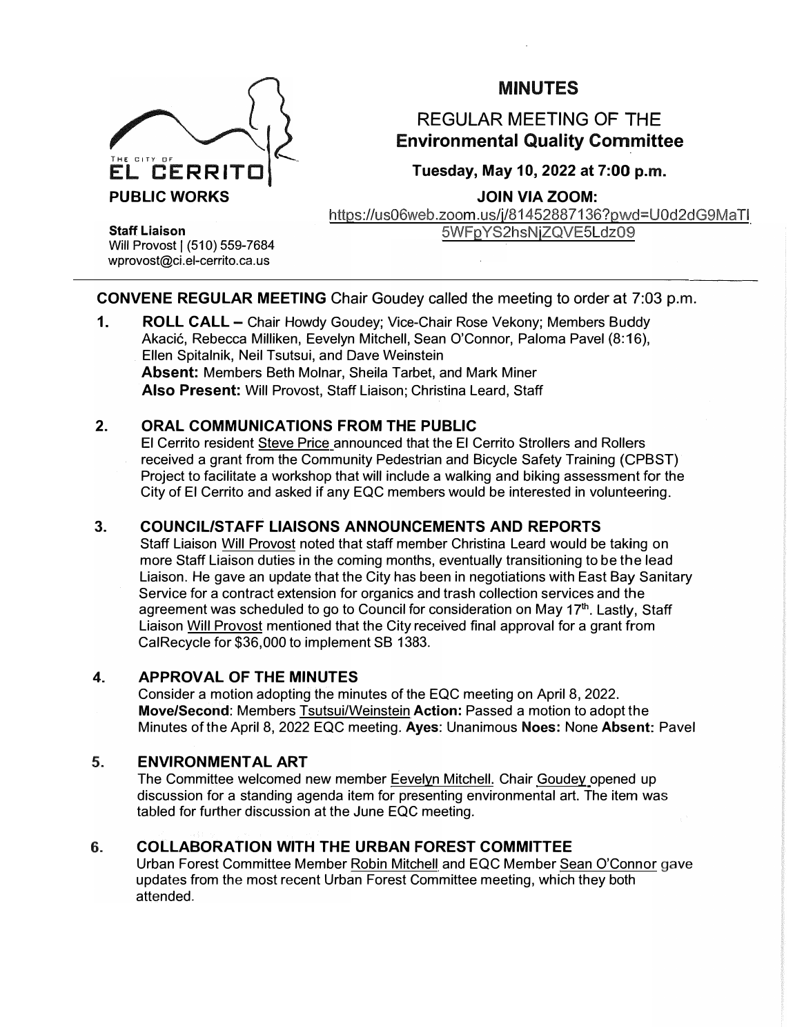

# MINUTES

# REGULAR MEETING OF THE **Environmental Quality Committee**

# Tuesday, May 10, 2022 at **7:00** p.m.

**JOIN VIA ZOOM:** 

https://us06web.zoom .us/j/81452887136?pwd=U0d2dG9Ma Tl SWFp YS2hsNjZQVE5Ldz09

**Staff Liaison**  Will Provost | (510) 559-7684 wprovost@ci. el-cerrito. ca. us

## CONVENE REGULAR MEETING Chair Goudey called the meeting to order at 7:03 p.m.

1. ROLL CALL - Chair Howdy Goudey; Vice-Chair Rose Vekony; Members Buddy Akacić, Rebecca Milliken, Eevelyn Mitchell, Sean O'Connor, Paloma Pavel (8:16), Ellen Spitalnik, Neil Tsutsui, and Dave Weinstein **Absent:** Members Beth Molnar, Sheila Tarbet, and Mark Miner **Also Present:** Will Provost, Staff Liaison; Christina Leard, Staff

## **2. ORAL COMMUNICATIONS FROM THE PUBLIC**

El Cerrito resident Steve Price announced that the El Cerrito Strollers and Rollers received a grant from the Community Pedestrian and Bicycle Safety Training (CPBST) Project to facilitate a workshop that will include a walking and biking assessment for the City of El Cerrito and asked if any EQC members would be interested in volunteering.

# **3. COUNCIL/STAFF LIAISONS ANNOUNCEMENTS AND REPORTS**

Staff Liaison Will Provost noted that staff member Christina Leard would be taking on more Staff Liaison duties in the coming months, eventually transitioning to be the lead Liaison. He gave an update that the City has been in negotiations with East Bay Sanitary Service for a contract extension for organics and trash collection services and the agreement was scheduled to go to Council for consideration on May 17<sup>th</sup>. Lastly, Staff Liaison Will Provost mentioned that the City received final approval for a grant from CalRecycle for \$36,000 to implement SB 1383.

## 4. APPROVAL OF THE MINUTES

Consider a motion adopting the minutes of the EQC meeting on April 8, 2022. Move/Second: Members Tsutsui/Weinstein Action: Passed a motion to adopt the Minutes of the April 8, 2022 EQC meeting. Ayes: Unanimous Noes: None Absent: Pavel

## **5.** ENVIRONMENTAL ART

The Committee welcomed new member Eevelyn Mitchell. Chair Goudey opened up discussion for a standing agenda item for presenting environmental art. The item was tabled for further discussion at the June EQC meeting.

## **6.** COLLABORATION WITH THE URBAN FOREST COMMITTEE

Urban Forest Committee Member Robin Mitchell and EQC Member Sean O'Connor gave updates from the most recent Urban Forest Committee meeting, which they both attended.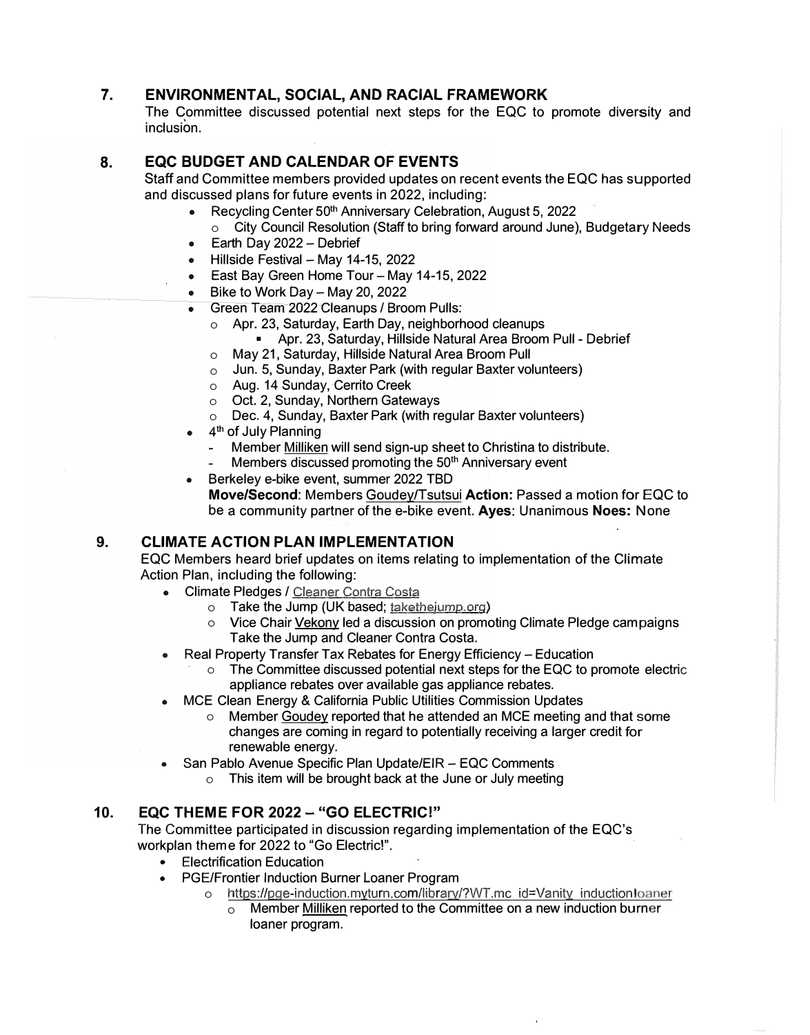## **7. ENVIRONMENTAL, SOCIAL, AND RACIAL FRAMEWORK**

The Committee discussed potential next steps for the EQC to promote diversity and inclusion.

#### **8. EQC BUDGET AND CALENDAR OF EVENTS**

Staff and Committee members provided updates on recent events the EQC has supported and discussed plans for future events in 2022, including:

- Recycling Center 50th Anniversary Celebration, August 5, 2022
	- o City Council Resolution (Staff to bring forward around June), Budgetary Needs
- Earth Day 2022 Debrief  $\bullet$
- $\bullet$  Hillside Festival Mav 14-15, 2022
- **East Bay Green Home Tour-May 14-15, 2022**
- $\bullet$  Bike to Work Day May 20, 2022
- Green Team 2022 Cleanups / Broom Pulls:
	- o Apr. 23, Saturday, Earth Day, neighborhood cleanups
		- <sup>11</sup>Apr. 23, Saturday, Hillside Natural Area Broom Pull Debrief
	- o May 21, Saturday, Hillside Natural Area Broom Pull
	- $\circ$  Jun. 5, Sunday, Baxter Park (with regular Baxter volunteers)
	- o Aug. 14 Sunday, Cerrito Creek
	- o Oct. 2, Sunday, Northern Gateways
	- o Dec. 4, Sunday, Baxter Park (with regular Baxter volunteers)
- 4 th of July Planning
	- Member Milliken will send sign-up sheet to Christina to distribute.
	- Members discussed promoting the 50<sup>th</sup> Anniversary event
- Berkeley e-bike event, summer 2022 TBD **Move/Second:** Members Goudey/Tsutsui **Action:** Passed a motion for EQC to be a community partner of the e-bike event. **Ayes:** Unanimous **Noes:** None

#### **9. CLIMATE ACTION PLAN IMPLEMENTATION**

EQC Members heard brief updates on items relating to implementation of the Climate Action Plan, including the following:

- Climate Pledges / Cleaner Contra Costa
	- o Take the Jump (UK based; taketheiump.org)
	- o Vice Chair Vekony led a discussion on promoting Climate Pledge campaigns Take the Jump and Cleaner Contra Costa.
- Real Property Transfer Tax Rebates for Energy Efficiency Education
	- $\circ$  The Committee discussed potential next steps for the EQC to promote electric appliance rebates over available gas appliance rebates.
- MCE Clean Energy & California Public Utilities Commission Updates
	- o Member Goudey reported that he attended an MCE meeting and that some changes are coming in regard to potentially receiving a larger credit for renewable energy.
- San Pablo Avenue Specific Plan Update/EIR EQC Comments
	- o This item will be brought back at the June or July meeting

#### **10. EQC THEME FOR 2022 - "GO ELECTRIC!"**

The Committee participated in discussion regarding implementation of the EQC's workplan theme for 2022 to "Go Electric!".

- Electrification Education
- PGE/Frontier Induction Burner Loaner Program
	- o https://pge-induction.myturn.com/library/?WT.mc id=Vanity inductionloaner
		- o Member Milliken reported to the Committee on a new induction burner loaner program.